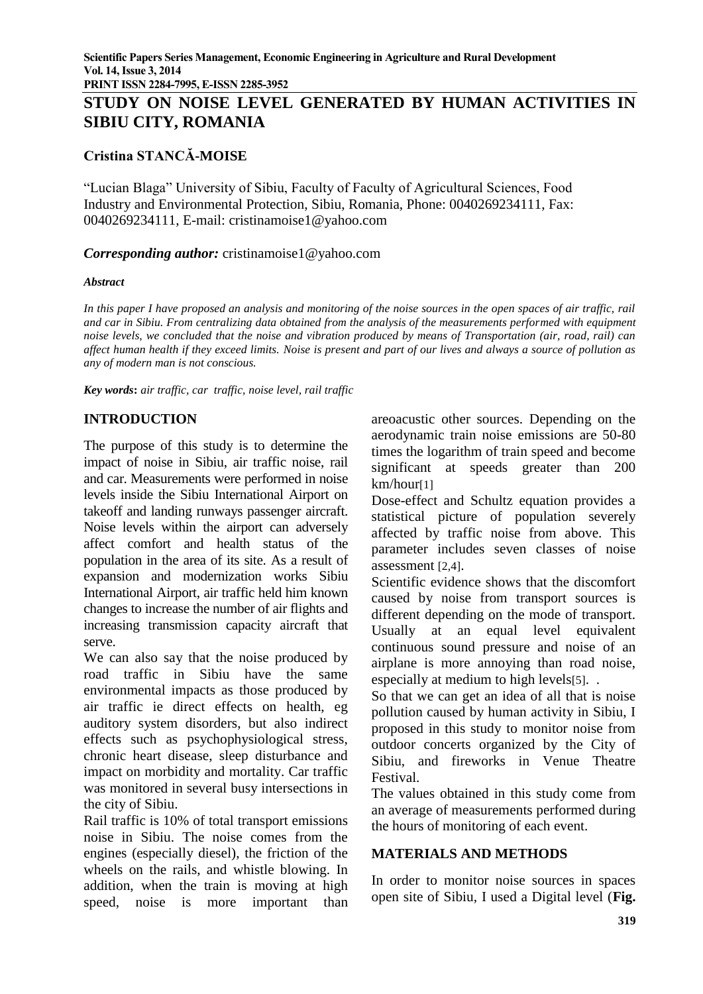**PRINT ISSN 2284-7995, E-ISSN 2285-3952**

# **STUDY ON NOISE LEVEL GENERATED BY HUMAN ACTIVITIES IN SIBIU CITY, ROMANIA**

# **Cristina STANCĂ-MOISE**

"Lucian Blaga" University of Sibiu, Faculty of Faculty of Agricultural Sciences, Food Industry and Environmental Protection, Sibiu, Romania, Phone: 0040269234111, Fax: 0040269234111, E-mail: cristinamoise1@yahoo.com

*Corresponding author:* cristinamoise1@yahoo.com

#### *Abstract*

*In this paper I have proposed an analysis and monitoring of the noise sources in the open spaces of air traffic, rail and car in Sibiu. From centralizing data obtained from the analysis of the measurements performed with equipment noise levels, we concluded that the noise and vibration produced by means of Transportation (air, road, rail) can affect human health if they exceed limits. Noise is present and part of our lives and always a source of pollution as any of modern man is not conscious.*

*Key words***:** *air traffic, car traffic, noise level, rail traffic*

# **INTRODUCTION**

The purpose of this study is to determine the impact of noise in Sibiu, air traffic noise, rail and car. Measurements were performed in noise levels inside the Sibiu International Airport on takeoff and landing runways passenger aircraft. Noise levels within the airport can adversely affect comfort and health status of the population in the area of its site. As a result of expansion and modernization works Sibiu International Airport, air traffic held him known changes to increase the number of air flights and increasing transmission capacity aircraft that serve.

We can also say that the noise produced by road traffic in Sibiu have the same environmental impacts as those produced by air traffic ie direct effects on health, eg auditory system disorders, but also indirect effects such as psychophysiological stress, chronic heart disease, sleep disturbance and impact on morbidity and mortality. Car traffic was monitored in several busy intersections in the city of Sibiu.

Rail traffic is 10% of total transport emissions noise in Sibiu. The noise comes from the engines (especially diesel), the friction of the wheels on the rails, and whistle blowing. In addition, when the train is moving at high speed, noise is more important than

areoacustic other sources. Depending on the aerodynamic train noise emissions are 50-80 times the logarithm of train speed and become significant at speeds greater than 200 km/hour[1]

Dose-effect and Schultz equation provides a statistical picture of population severely affected by traffic noise from above. This parameter includes seven classes of noise assessment [2,4].

Scientific evidence shows that the discomfort caused by noise from transport sources is different depending on the mode of transport. Usually at an equal level equivalent continuous sound pressure and noise of an airplane is more annoying than road noise, especially at medium to high levels[5]. .

So that we can get an idea of all that is noise pollution caused by human activity in Sibiu, I proposed in this study to monitor noise from outdoor concerts organized by the City of Sibiu, and fireworks in Venue Theatre Festival.

The values obtained in this study come from an average of measurements performed during the hours of monitoring of each event.

#### **MATERIALS AND METHODS**

In order to monitor noise sources in spaces open site of Sibiu, I used a Digital level (**Fig.**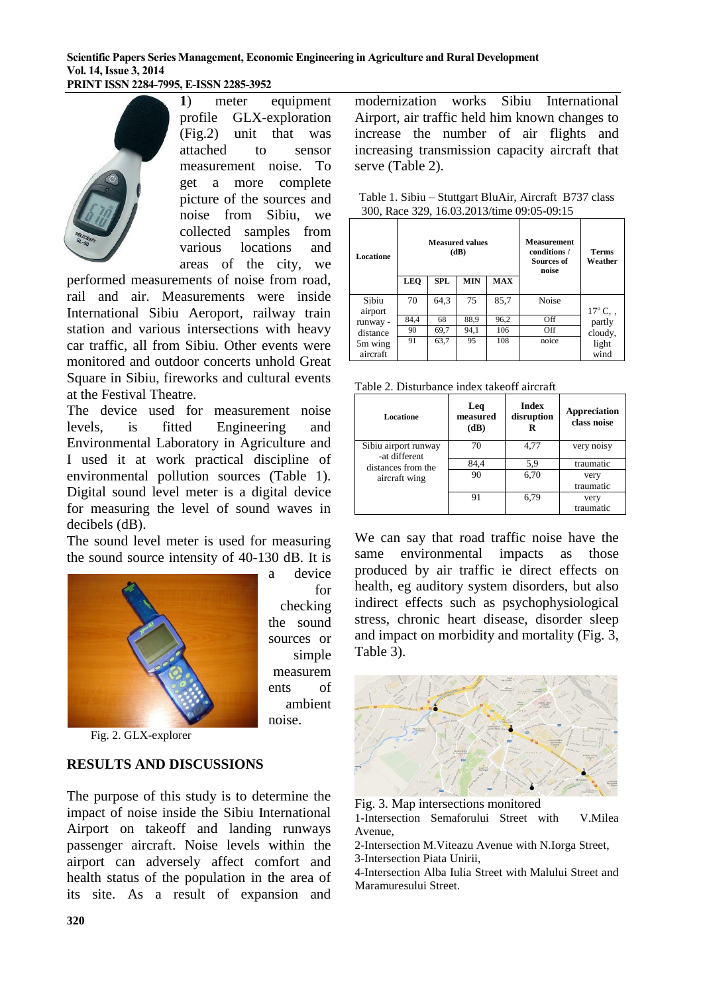#### **Scientific Papers Series Management, Economic Engineering in Agriculture and Rural Development Vol. 14, Issue 3, 2014 PRINT ISSN 2284-7995, E-ISSN 2285-3952**

a device

checking the sound sources or simple measurem ents of ambient

noise.

for



**1**) meter equipment profile GLX-exploration (Fig.2) unit that was attached to sensor measurement noise. To get a more complete picture of the sources and noise from Sibiu, we collected samples from various locations and areas of the city, we

performed measurements of noise from road, rail and air. Measurements were inside International Sibiu Aeroport, railway train station and various intersections with heavy car traffic, all from Sibiu. Other events were monitored and outdoor concerts unhold Great Square in Sibiu, fireworks and cultural events at the Festival Theatre.

The device used for measurement noise levels, is fitted Engineering and Environmental Laboratory in Agriculture and I used it at work practical discipline of environmental pollution sources (Table 1). Digital sound level meter is a digital device for measuring the level of sound waves in decibels (dB).

The sound level meter is used for measuring the sound source intensity of 40-130 dB. It is



Fig. 2. GLX-explorer

# **RESULTS AND DISCUSSIONS**

The purpose of this study is to determine the impact of noise inside the Sibiu International Airport on takeoff and landing runways passenger aircraft. Noise levels within the airport can adversely affect comfort and health status of the population in the area of its site. As a result of expansion and

modernization works Sibiu International Airport, air traffic held him known changes to increase the number of air flights and increasing transmission capacity aircraft that serve (Table 2).

| Table 1. Sibiu – Stuttgart BluAir, Aircraft B737 class |  |
|--------------------------------------------------------|--|
| 300, Race 329, 16.03.2013/time 09:05-09:15             |  |

| Locatione           | <b>Measured values</b><br>(dB)<br><b>LEQ</b><br><b>MIN</b><br><b>MAX</b><br>SPL |      |      |      | <b>Measurement</b><br>conditions /<br>Sources of<br>noise | <b>Terms</b><br>Weather |
|---------------------|---------------------------------------------------------------------------------|------|------|------|-----------------------------------------------------------|-------------------------|
| Sibiu<br>airport    | 70                                                                              | 64,3 | 75   | 85,7 | <b>Noise</b>                                              | $17^{\circ}$ C, ,       |
| runway -            | 84,4                                                                            | 68   | 88,9 | 96,2 | Off                                                       | partly                  |
| distance            | 90                                                                              | 69,7 | 94,1 | 106  | Off                                                       | cloudy,                 |
| 5m wing<br>aircraft | 91                                                                              | 63,7 | 95   | 108  | noice                                                     | light<br>wind           |

Table 2. Disturbance index takeoff aircraft

| Locatione                                                                    | Leq<br>measured<br>(dB) | <b>Index</b><br>disruption | <b>Appreciation</b><br>class noise |
|------------------------------------------------------------------------------|-------------------------|----------------------------|------------------------------------|
| Sibiu airport runway<br>-at different<br>distances from the<br>aircraft wing | 70                      | 4,77                       | very noisy                         |
|                                                                              | 84,4                    | 5,9                        | traumatic                          |
|                                                                              | 90                      | 6,70                       | very<br>traumatic                  |
|                                                                              | 91                      | 6,79                       | very<br>traumatic                  |

We can say that road traffic noise have the same environmental impacts as those produced by air traffic ie direct effects on health, eg auditory system disorders, but also indirect effects such as psychophysiological stress, chronic heart disease, disorder sleep and impact on morbidity and mortality (Fig. 3, Table 3).



Fig. 3. Map intersections monitored

1-Intersection Semaforului Street with V.Milea Avenue,

2-Intersection M.Viteazu Avenue with N.Iorga Street,

3-Intersection Piata Unirii,

4-Intersection Alba Iulia Street with Malului Street and Maramuresului Street.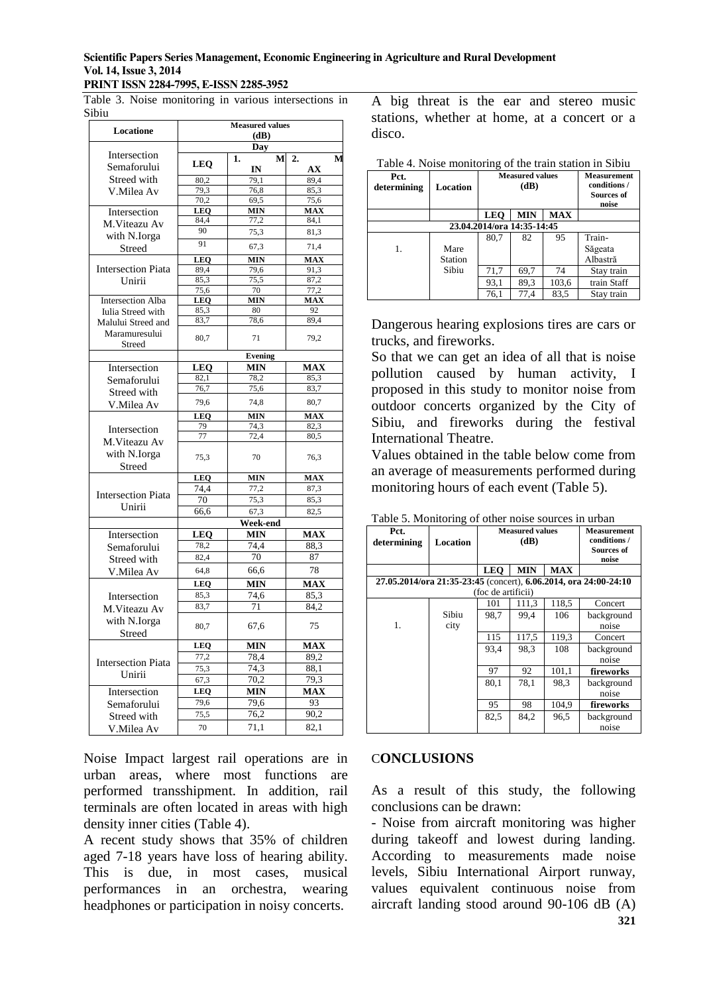### **Scientific Papers Series Management, Economic Engineering in Agriculture and Rural Development Vol. 14, Issue 3, 2014**

#### **PRINT ISSN 2284-7995, E-ISSN 2285-3952**

Table 3. Noise monitoring in various intersections in Sibiu

| Locatione                 | <b>Measured values</b><br>(dB) |                    |                         |  |  |
|---------------------------|--------------------------------|--------------------|-------------------------|--|--|
|                           |                                |                    |                         |  |  |
|                           |                                | Day                |                         |  |  |
| Intersection              | <b>LEQ</b>                     | M<br>1.            | 2.<br>M                 |  |  |
| Semaforului               |                                | IN                 | AX                      |  |  |
| Streed with               | 80.2                           | 79.1               | 89.4                    |  |  |
| V.Milea Av                | 79,3                           | 76,8               | 85,3                    |  |  |
|                           | 70,2                           | 69,5<br><b>MIN</b> | 75,6<br><b>MAX</b>      |  |  |
| Intersection              | <b>LEQ</b><br>84,4             | 77,2               | 84,1                    |  |  |
| M.Viteazu Av              | 90                             | 75,3               | 81,3                    |  |  |
| with N.Iorga              |                                |                    |                         |  |  |
| Streed                    | 91                             | 67,3               | 71,4                    |  |  |
|                           | LEQ                            | MIN                | <b>MAX</b>              |  |  |
| <b>Intersection Piata</b> | 89,4                           | 79,6               | 91,3                    |  |  |
| Unirii                    | 85,3                           | 75,5               | 87,2                    |  |  |
|                           | 75,6                           | 70                 | 77,2                    |  |  |
| <b>Intersection Alba</b>  | <b>LEO</b>                     | <b>MIN</b><br>80   | <b>MAX</b><br>92        |  |  |
| Iulia Streed with         | 85,3<br>83,7                   | 78,6               | 89,4                    |  |  |
| Malului Streed and        |                                |                    |                         |  |  |
| Maramuresului             | 80,7                           | 71                 | 79,2                    |  |  |
| Streed                    |                                |                    |                         |  |  |
|                           |                                | <b>Evening</b>     |                         |  |  |
| Intersection              | LEQ                            | MIN                | <b>MAX</b>              |  |  |
| Semaforului               | 82,1                           | 78,2               | 85,3                    |  |  |
| Streed with               | 76,7                           | 75,6               | 83,7                    |  |  |
| V.Milea Av                | 79,6                           | 74,8               | 80,7                    |  |  |
|                           | <b>LEO</b>                     | <b>MIN</b>         | <b>MAX</b>              |  |  |
| Intersection              | 79                             | 74,3               | 82,3                    |  |  |
| M.Viteazu Av              | 77                             | 72,4               | 80,5                    |  |  |
| with N.Iorga              |                                |                    |                         |  |  |
|                           | 75,3                           | 70                 | 76,3                    |  |  |
| Streed                    |                                |                    |                         |  |  |
|                           | <b>LEQ</b>                     | <b>MIN</b>         | <b>MAX</b>              |  |  |
| <b>Intersection Piata</b> | 74,4                           | 77,2               | 87,3                    |  |  |
| Unirii                    | 70                             | 75,3               | 85,3                    |  |  |
|                           | 66,6                           | 67,3               | 82,5                    |  |  |
|                           |                                | Week-end           |                         |  |  |
| Intersection              | LEO                            | <b>MIN</b>         | <b>MAX</b>              |  |  |
| Semaforului               | 78,2                           | 74.4               | 88.3                    |  |  |
| Streed with               | 82,4                           | 70                 | 87                      |  |  |
| V.Milea Av                | 64,8                           | 66,6               | 78                      |  |  |
|                           | LEQ                            | <b>MIN</b>         | $\overline{\text{MAX}}$ |  |  |
| Intersection              | 85,3                           | 74,6               | 85,3                    |  |  |
| M.Viteazu Av              | 83,7                           | 71                 | 84,2                    |  |  |
|                           |                                |                    |                         |  |  |
| with N.Iorga              | 80,7                           | 67,6               | 75                      |  |  |
| Streed                    |                                |                    |                         |  |  |
|                           | LEQ                            | MIN                | <b>MAX</b>              |  |  |
| <b>Intersection Piata</b> | 77,2                           | 78,4               | 89,2                    |  |  |
| Unirii                    | 75,3                           | 74.3               | 88.1                    |  |  |
|                           | 67,3                           | 70,2               | 79,3                    |  |  |
| Intersection              | <b>LEO</b>                     | <b>MIN</b>         | <b>MAX</b>              |  |  |
| Semaforului               | 79,6                           | 79,6               | 93                      |  |  |
| Streed with               | 75,5                           | 76,2               | 90,2                    |  |  |
| V.Milea Av                | 70                             | 71,1               | 82,1                    |  |  |
|                           |                                |                    |                         |  |  |

Noise Impact largest rail operations are in urban areas, where most functions are performed transshipment. In addition, rail terminals are often located in areas with high density inner cities (Table 4).

A recent study shows that 35% of children aged 7-18 years have loss of hearing ability. This is due, in most cases, musical performances in an orchestra, wearing headphones or participation in noisy concerts.

A big threat is the ear and stereo music stations, whether at home, at a concert or a disco.

| Pct.<br>determining        | Location        | Table 4. Noise monitoring of the train station in Sibiu<br><b>Measured values</b><br>(dB) |            |            | <b>Measurement</b><br>conditions /<br><b>Sources of</b><br>noise |
|----------------------------|-----------------|-------------------------------------------------------------------------------------------|------------|------------|------------------------------------------------------------------|
|                            |                 | <b>LEO</b>                                                                                | <b>MIN</b> | <b>MAX</b> |                                                                  |
| 23.04.2014/ora 14:35-14:45 |                 |                                                                                           |            |            |                                                                  |
| 1.                         | Mare<br>Station | 80,7                                                                                      | 82         | 95         | Train-<br>Săgeata<br>Albastră                                    |
|                            | Sibiu           | 71,7                                                                                      | 69,7       | 74         | Stay train                                                       |
|                            |                 | 93,1                                                                                      | 89,3       | 103,6      | train Staff                                                      |
|                            |                 | 76,1                                                                                      | 77,4       | 83.5       | Stay train                                                       |

Dangerous hearing explosions tires are cars or trucks, and fireworks.

So that we can get an idea of all that is noise pollution caused by human activity, I proposed in this study to monitor noise from outdoor concerts organized by the City of Sibiu, and fireworks during the festival International Theatre.

Values obtained in the table below come from an average of measurements performed during monitoring hours of each event (Table 5).

| Pct.                                                             |          | <b>Measured values</b><br>(dB) |            |            | <b>Measurement</b> |  |
|------------------------------------------------------------------|----------|--------------------------------|------------|------------|--------------------|--|
| determining                                                      | Location |                                |            |            | conditions /       |  |
|                                                                  |          |                                |            |            | <b>Sources of</b>  |  |
|                                                                  |          |                                |            |            | noise              |  |
|                                                                  |          | <b>LEO</b>                     | <b>MIN</b> | <b>MAX</b> |                    |  |
| 27.05.2014/ora 21:35-23:45 (concert), 6.06.2014, ora 24:00-24:10 |          |                                |            |            |                    |  |
|                                                                  |          | (foc de artificii)             |            |            |                    |  |
|                                                                  |          | 101                            | 111,3      | 118,5      | Concert            |  |
|                                                                  | Sibiu    | 98.7                           | 99.4       | 106        | background         |  |
| 1.                                                               | city     |                                |            |            | noise              |  |
|                                                                  |          | 115                            | 117,5      | 119,3      | Concert            |  |
|                                                                  |          | 93.4                           | 98.3       | 108        | background         |  |
|                                                                  |          |                                |            |            | noise              |  |
|                                                                  |          | 97                             | 92         | 101,1      | fireworks          |  |
|                                                                  |          | 80,1                           | 78,1       | 98.3       | background         |  |
|                                                                  |          |                                |            |            | noise              |  |
|                                                                  |          | 95                             | 98         | 104.9      | fireworks          |  |
|                                                                  |          | 82,5                           | 84,2       | 96.5       | background         |  |
|                                                                  |          |                                |            |            | noise              |  |

Table 5. Monitoring of other noise sources in urban

#### C**ONCLUSIONS**

As a result of this study, the following conclusions can be drawn:

**321** - Noise from aircraft monitoring was higher during takeoff and lowest during landing. According to measurements made noise levels, Sibiu International Airport runway, values equivalent continuous noise from aircraft landing stood around 90-106 dB (A)